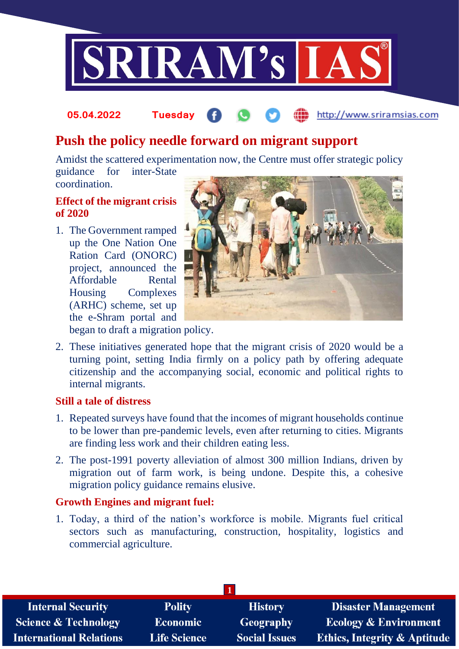

#### http://www.sriramsias.com **05.04.2022 Tuesday**

# **Push the policy needle forward on migrant support**

Amidst the scattered experimentation now, the Centre must offer strategic policy guidance for inter-State

coordination.

# **Effect of the migrant crisis of 2020**

1. The Government ramped up the One Nation One Ration Card (ONORC) project, announced the Affordable Rental Housing Complexes (ARHC) scheme, set up the e-Shram portal and



began to draft a migration policy.

2. These initiatives generated hope that the migrant crisis of 2020 would be a turning point, setting India firmly on a policy path by offering adequate citizenship and the accompanying social, economic and political rights to internal migrants.

#### **Still a tale of distress**

- 1. Repeated surveys have found that the incomes of migrant households continue to be lower than pre-pandemic levels, even after returning to cities. Migrants are finding less work and their children eating less.
- 2. The post-1991 poverty alleviation of almost 300 million Indians, driven by migration out of farm work, is being undone. Despite this, a cohesive migration policy guidance remains elusive.

# **Growth Engines and migrant fuel:**

1. Today, a third of the nation's workforce is mobile. Migrants fuel critical sectors such as manufacturing, construction, hospitality, logistics and commercial agriculture.

| <b>Internal Security</b>        | <b>Polity</b>       | <b>History</b>       | <b>Disaster Management</b>              |  |  |
|---------------------------------|---------------------|----------------------|-----------------------------------------|--|--|
| <b>Science &amp; Technology</b> | <b>Economic</b>     | <b>Geography</b>     | <b>Ecology &amp; Environment</b>        |  |  |
| <b>International Relations</b>  | <b>Life Science</b> | <b>Social Issues</b> | <b>Ethics, Integrity &amp; Aptitude</b> |  |  |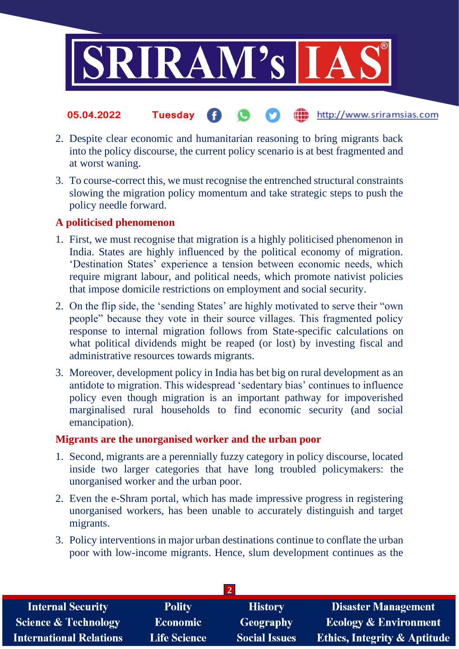

#### the http://www.sriramsias.com **05.04.2022 Tuesday** G.

- 2. Despite clear economic and humanitarian reasoning to bring migrants back into the policy discourse, the current policy scenario is at best fragmented and at worst waning.
- 3. To course-correct this, we must recognise the entrenched structural constraints slowing the migration policy momentum and take strategic steps to push the policy needle forward.

# **A politicised phenomenon**

- 1. First, we must recognise that migration is a highly politicised phenomenon in India. States are highly influenced by the political economy of migration. 'Destination States' experience a tension between economic needs, which require migrant labour, and political needs, which promote nativist policies that impose domicile restrictions on employment and social security.
- 2. On the flip side, the 'sending States' are highly motivated to serve their "own people" because they vote in their source villages. This fragmented policy response to internal migration follows from State-specific calculations on what political dividends might be reaped (or lost) by investing fiscal and administrative resources towards migrants.
- 3. Moreover, development policy in India has bet big on rural development as an antidote to migration. This widespread 'sedentary bias' continues to influence policy even though migration is an important pathway for impoverished marginalised rural households to find economic security (and social emancipation).

#### **Migrants are the unorganised worker and the urban poor**

- 1. Second, migrants are a perennially fuzzy category in policy discourse, located inside two larger categories that have long troubled policymakers: the unorganised worker and the urban poor.
- 2. Even the e-Shram portal, which has made impressive progress in registering unorganised workers, has been unable to accurately distinguish and target migrants.
- 3. Policy interventions in major urban destinations continue to conflate the urban poor with low-income migrants. Hence, slum development continues as the

| <b>Internal Security</b>        | <b>Polity</b>       | <b>History</b>       | Disaster Management                     |  |  |
|---------------------------------|---------------------|----------------------|-----------------------------------------|--|--|
| <b>Science &amp; Technology</b> | <b>Economic</b>     | Geography            | <b>Ecology &amp; Environment</b>        |  |  |
| <b>International Relations</b>  | <b>Life Science</b> | <b>Social Issues</b> | <b>Ethics, Integrity &amp; Aptitude</b> |  |  |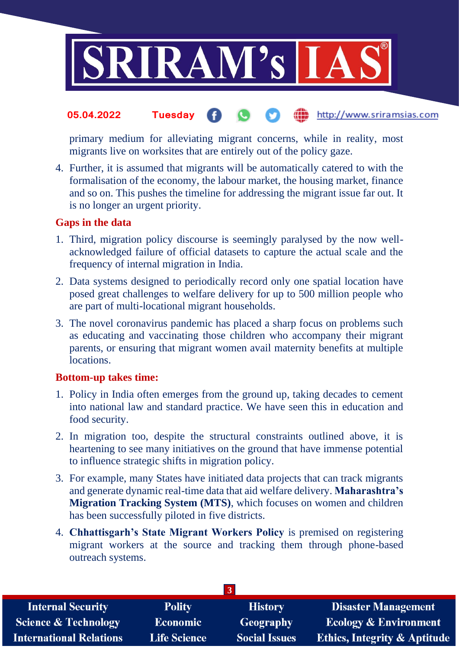

#### http://www.sriramsias.com **05.04.2022 Tuesday**

primary medium for alleviating migrant concerns, while in reality, most migrants live on worksites that are entirely out of the policy gaze.

4. Further, it is assumed that migrants will be automatically catered to with the formalisation of the economy, the labour market, the housing market, finance and so on. This pushes the timeline for addressing the migrant issue far out. It is no longer an urgent priority.

#### **Gaps in the data**

- 1. Third, migration policy discourse is seemingly paralysed by the now wellacknowledged failure of official datasets to capture the actual scale and the frequency of internal migration in India.
- 2. Data systems designed to periodically record only one spatial location have posed great challenges to welfare delivery for up to 500 million people who are part of multi-locational migrant households.
- 3. The novel coronavirus pandemic has placed a sharp focus on problems such as educating and vaccinating those children who accompany their migrant parents, or ensuring that migrant women avail maternity benefits at multiple locations.

#### **Bottom-up takes time:**

- 1. Policy in India often emerges from the ground up, taking decades to cement into national law and standard practice. We have seen this in education and food security.
- 2. In migration too, despite the structural constraints outlined above, it is heartening to see many initiatives on the ground that have immense potential to influence strategic shifts in migration policy.
- 3. For example, many States have initiated data projects that can track migrants and generate dynamic real-time data that aid welfare delivery. **Maharashtra's Migration Tracking System (MTS)**, which focuses on women and children has been successfully piloted in five districts.
- 4. **Chhattisgarh's State Migrant Workers Policy** is premised on registering migrant workers at the source and tracking them through phone-based outreach systems.

| <b>Internal Security</b>        | <b>Polity</b>       | <b>History</b>       | <b>Disaster Management</b>              |  |  |
|---------------------------------|---------------------|----------------------|-----------------------------------------|--|--|
| <b>Science &amp; Technology</b> | <b>Economic</b>     | Geography            | <b>Ecology &amp; Environment</b>        |  |  |
| <b>International Relations</b>  | <b>Life Science</b> | <b>Social Issues</b> | <b>Ethics, Integrity &amp; Aptitude</b> |  |  |